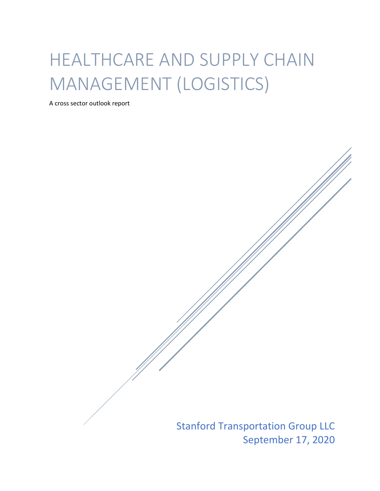# HEALTHCARE AND SUPPLY CHAIN MANAGEMENT (LOGISTICS)

A cross sector outlook report

Stanford Transportation Group LLC September 17, 2020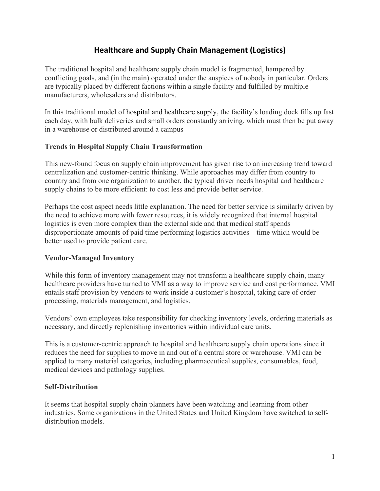# **Healthcare and Supply Chain Management (Logistics)**

The traditional hospital and healthcare supply chain model is fragmented, hampered by conflicting goals, and (in the main) operated under the auspices of nobody in particular. Orders are typically placed by different factions within a single facility and fulfilled by multiple manufacturers, wholesalers and distributors.

In this traditional model of hospital and [healthcare](https://www.logisticsbureau.com/hospital-supply-chain-kpis/) supply, the facility's loading dock fills up fast each day, with bulk deliveries and small orders constantly arriving, which must then be put away in a warehouse or distributed around a campus

## **Trends in Hospital Supply Chain Transformation**

This new-found focus on supply chain improvement has given rise to an increasing trend toward centralization and customer-centric thinking. While approaches may differ from country to country and from one organization to another, the typical driver needs hospital and healthcare supply chains to be more efficient: to cost less and provide better service.

Perhaps the cost aspect needs little explanation. The need for better service is similarly driven by the need to achieve more with fewer resources, it is widely recognized that internal hospital logistics is even more complex than the external side and that medical staff spends disproportionate amounts of paid time performing logistics activities—time which would be better used to provide patient care.

## **Vendor-Managed Inventory**

While this form of inventory management may not transform a healthcare supply chain, many healthcare providers have turned to VMI as a way to improve service and cost performance. VMI entails staff provision by vendors to work inside a customer's hospital, taking care of order processing, materials management, and logistics.

Vendors' own employees take responsibility for checking inventory levels, ordering materials as necessary, and directly replenishing inventories within individual care units.

This is a customer-centric approach to hospital and healthcare supply chain operations since it reduces the need for supplies to move in and out of a central store or warehouse. VMI can be applied to many material categories, including pharmaceutical supplies, consumables, food, medical devices and pathology supplies.

## **Self-Distribution**

It seems that hospital supply chain planners have been watching and learning from other industries. Some organizations in the United States and United Kingdom have switched to selfdistribution models.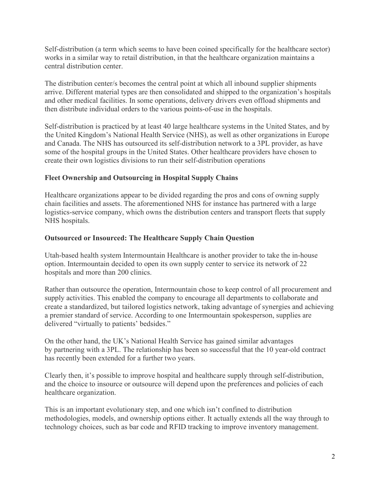Self-distribution (a term which seems to have been coined specifically for the healthcare sector) works in a similar way to retail distribution, in that the healthcare organization maintains a central distribution center.

The distribution center/s becomes the central point at which all inbound supplier shipments arrive. Different material types are then consolidated and shipped to the organization's hospitals and other medical facilities. In some operations, delivery drivers even offload shipments and then distribute individual orders to the various points-of-use in the hospitals.

Self-distribution is practiced by at least 40 large healthcare systems in the United States, and by the United Kingdom's National Health Service (NHS), as well as other organizations in Europe and Canada. The NHS has outsourced its self-distribution network to a 3PL provider, as have some of the hospital groups in the United States. Other healthcare providers have chosen to create their own logistics divisions to run their self-distribution operations

# **Fleet Ownership and Outsourcing in Hospital Supply Chains**

Healthcare organizations appear to be divided regarding the pros and cons of owning supply chain facilities and assets. The aforementioned NHS for instance has partnered with a large logistics-service company, which owns the distribution centers and transport fleets that supply NHS hospitals.

## **Outsourced or Insourced: The Healthcare Supply Chain Question**

Utah-based health system Intermountain Healthcare is another provider to take the in-house option. Intermountain decided to open its own supply center to service its network of 22 hospitals and more than 200 clinics.

Rather than outsource the operation, Intermountain chose to keep control of all procurement and supply activities. This enabled the company to encourage all departments to collaborate and create a standardized, but tailored logistics network, taking advantage of synergies and achieving a premier standard of service. According to one Intermountain spokesperson, supplies are delivered "virtually to patients' bedsides."

On the other hand, the UK's National Health Service has gained similar advantages by partnering with a 3PL. The relationship has been so successful that the 10 year-old contract has recently been extended for a further two years.

Clearly then, it's possible to improve hospital and healthcare supply through self-distribution, and the choice to insource or outsource will depend upon the preferences and policies of each healthcare organization.

This is an important evolutionary step, and one which isn't confined to distribution methodologies, models, and ownership options either. It actually extends all the way through to technology choices, such as bar code and RFID tracking to improve inventory management.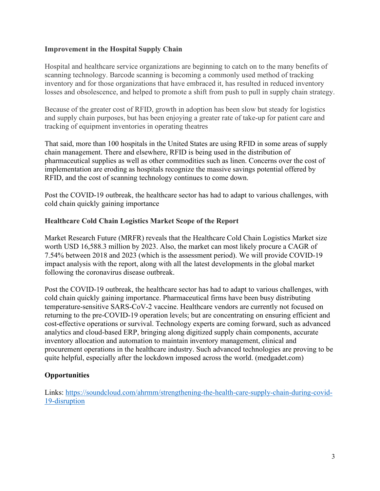## **Improvement in the Hospital Supply Chain**

Hospital and healthcare service organizations are beginning to catch on to the many benefits of scanning technology. Barcode scanning is becoming a commonly used method of tracking inventory and for those organizations that have embraced it, has resulted in reduced inventory losses and obsolescence, and helped to promote a shift from push to pull in supply chain strategy.

Because of the greater cost of RFID, growth in adoption has been slow but steady for logistics and supply chain purposes, but has been enjoying a greater rate of take-up for patient care and tracking of equipment inventories in operating theatres

That said, more than 100 hospitals in the United States are using RFID in some areas of [supply](https://www.logisticsbureau.com/?s=supply+chain+management) chain [management.](https://www.logisticsbureau.com/?s=supply+chain+management) There and elsewhere, RFID is being used in the distribution of pharmaceutical supplies as well as other commodities such as linen. Concerns over the cost of implementation are eroding as hospitals recognize the massive savings potential offered by RFID, and the cost of scanning technology continues to come down.

Post the COVID-19 outbreak, the healthcare sector has had to adapt to various challenges, with cold chain quickly gaining importance

## **Healthcare Cold Chain Logistics Market Scope of the Report**

Market Research Future (MRFR) reveals that the [Healthcare Cold Chain Logistics Market](https://www.marketresearchfuture.com/reports/healthcare-cold-chain-logistics-market-6550) size worth USD 16,588.3 million by 2023. Also, the market can most likely procure a CAGR of 7.54% between 2018 and 2023 (which is the assessment period). We will provide COVID-19 impact analysis with the report, along with all the latest developments in the global market following the coronavirus disease outbreak.

Post the COVID-19 outbreak, the healthcare sector has had to adapt to various challenges, with cold chain quickly gaining importance. Pharmaceutical firms have been busy distributing temperature-sensitive SARS-CoV-2 vaccine. Healthcare vendors are currently not focused on returning to the pre-COVID-19 operation levels; but are concentrating on ensuring efficient and cost-effective operations or survival. Technology experts are coming forward, such as advanced analytics and cloud-based ERP, bringing along digitized supply chain components, accurate inventory allocation and automation to maintain inventory management, clinical and procurement operations in the healthcare industry. Such advanced technologies are proving to be quite helpful, especially after the lockdown imposed across the world. (medgadet.com)

# **Opportunities**

Links: [https://soundcloud.com/ahrmm/strengthening-the-health-care-supply-chain-during-covid-](https://soundcloud.com/ahrmm/strengthening-the-health-care-supply-chain-during-covid-19-disruption)[19-disruption](https://soundcloud.com/ahrmm/strengthening-the-health-care-supply-chain-during-covid-19-disruption)